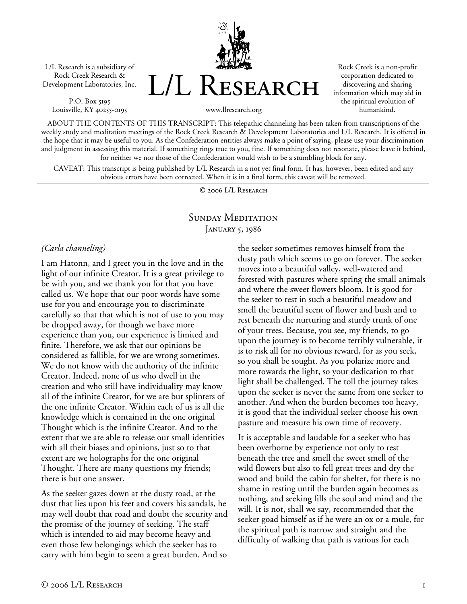L/L Research is a subsidiary of Rock Creek Research & Development Laboratories, Inc.

P.O. Box 5195 Louisville, KY 40255-0195 L/L Research

Rock Creek is a non-profit corporation dedicated to discovering and sharing information which may aid in the spiritual evolution of humankind.

www.llresearch.org

ABOUT THE CONTENTS OF THIS TRANSCRIPT: This telepathic channeling has been taken from transcriptions of the weekly study and meditation meetings of the Rock Creek Research & Development Laboratories and L/L Research. It is offered in the hope that it may be useful to you. As the Confederation entities always make a point of saying, please use your discrimination and judgment in assessing this material. If something rings true to you, fine. If something does not resonate, please leave it behind, for neither we nor those of the Confederation would wish to be a stumbling block for any.

CAVEAT: This transcript is being published by L/L Research in a not yet final form. It has, however, been edited and any obvious errors have been corrected. When it is in a final form, this caveat will be removed.

© 2006 L/L Research

### SUNDAY MEDITATION JANUARY 5, 1986

#### *(Carla channeling)*

I am Hatonn, and I greet you in the love and in the light of our infinite Creator. It is a great privilege to be with you, and we thank you for that you have called us. We hope that our poor words have some use for you and encourage you to discriminate carefully so that that which is not of use to you may be dropped away, for though we have more experience than you, our experience is limited and finite. Therefore, we ask that our opinions be considered as fallible, for we are wrong sometimes. We do not know with the authority of the infinite Creator. Indeed, none of us who dwell in the creation and who still have individuality may know all of the infinite Creator, for we are but splinters of the one infinite Creator. Within each of us is all the knowledge which is contained in the one original Thought which is the infinite Creator. And to the extent that we are able to release our small identities with all their biases and opinions, just so to that extent are we holographs for the one original Thought. There are many questions my friends; there is but one answer.

As the seeker gazes down at the dusty road, at the dust that lies upon his feet and covers his sandals, he may well doubt that road and doubt the security and the promise of the journey of seeking. The staff which is intended to aid may become heavy and even those few belongings which the seeker has to carry with him begin to seem a great burden. And so

the seeker sometimes removes himself from the dusty path which seems to go on forever. The seeker moves into a beautiful valley, well-watered and forested with pastures where spring the small animals and where the sweet flowers bloom. It is good for the seeker to rest in such a beautiful meadow and smell the beautiful scent of flower and bush and to rest beneath the nurturing and sturdy trunk of one of your trees. Because, you see, my friends, to go upon the journey is to become terribly vulnerable, it is to risk all for no obvious reward, for as you seek, so you shall be sought. As you polarize more and more towards the light, so your dedication to that light shall be challenged. The toll the journey takes upon the seeker is never the same from one seeker to another. And when the burden becomes too heavy, it is good that the individual seeker choose his own pasture and measure his own time of recovery.

It is acceptable and laudable for a seeker who has been overborne by experience not only to rest beneath the tree and smell the sweet smell of the wild flowers but also to fell great trees and dry the wood and build the cabin for shelter, for there is no shame in resting until the burden again becomes as nothing, and seeking fills the soul and mind and the will. It is not, shall we say, recommended that the seeker goad himself as if he were an ox or a mule, for the spiritual path is narrow and straight and the difficulty of walking that path is various for each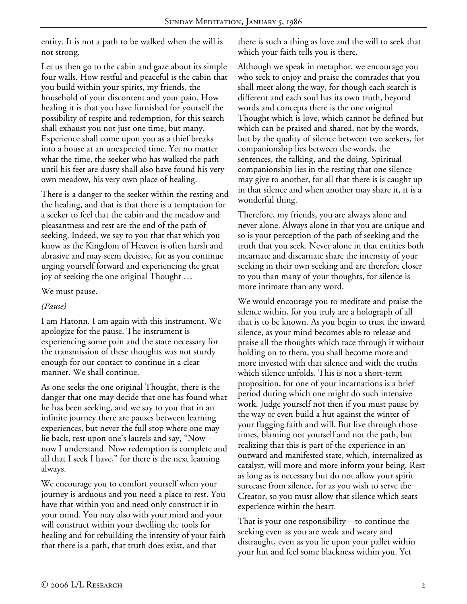entity. It is not a path to be walked when the will is not strong.

Let us then go to the cabin and gaze about its simple four walls. How restful and peaceful is the cabin that you build within your spirits, my friends, the household of your discontent and your pain. How healing it is that you have furnished for yourself the possibility of respite and redemption, for this search shall exhaust you not just one time, but many. Experience shall come upon you as a thief breaks into a house at an unexpected time. Yet no matter what the time, the seeker who has walked the path until his feet are dusty shall also have found his very own meadow, his very own place of healing.

There is a danger to the seeker within the resting and the healing, and that is that there is a temptation for a seeker to feel that the cabin and the meadow and pleasantness and rest are the end of the path of seeking. Indeed, we say to you that that which you know as the Kingdom of Heaven is often harsh and abrasive and may seem decisive, for as you continue urging yourself forward and experiencing the great joy of seeking the one original Thought …

We must pause.

### *(Pause)*

I am Hatonn. I am again with this instrument. We apologize for the pause. The instrument is experiencing some pain and the state necessary for the transmission of these thoughts was not sturdy enough for our contact to continue in a clear manner. We shall continue.

As one seeks the one original Thought, there is the danger that one may decide that one has found what he has been seeking, and we say to you that in an infinite journey there are pauses between learning experiences, but never the full stop where one may lie back, rest upon one's laurels and say, "Now now I understand. Now redemption is complete and all that I seek I have," for there is the next learning always.

We encourage you to comfort yourself when your journey is arduous and you need a place to rest. You have that within you and need only construct it in your mind. You may also with your mind and your will construct within your dwelling the tools for healing and for rebuilding the intensity of your faith that there is a path, that truth does exist, and that

there is such a thing as love and the will to seek that which your faith tells you is there.

Although we speak in metaphor, we encourage you who seek to enjoy and praise the comrades that you shall meet along the way, for though each search is different and each soul has its own truth, beyond words and concepts there is the one original Thought which is love, which cannot be defined but which can be praised and shared, not by the words, but by the quality of silence between two seekers, for companionship lies between the words, the sentences, the talking, and the doing. Spiritual companionship lies in the resting that one silence may give to another, for all that there is is caught up in that silence and when another may share it, it is a wonderful thing.

Therefore, my friends, you are always alone and never alone. Always alone in that you are unique and so is your perception of the path of seeking and the truth that you seek. Never alone in that entities both incarnate and discarnate share the intensity of your seeking in their own seeking and are therefore closer to you than many of your thoughts, for silence is more intimate than any word.

We would encourage you to meditate and praise the silence within, for you truly are a holograph of all that is to be known. As you begin to trust the inward silence, as your mind becomes able to release and praise all the thoughts which race through it without holding on to them, you shall become more and more invested with that silence and with the truths which silence unfolds. This is not a short-term proposition, for one of your incarnations is a brief period during which one might do such intensive work. Judge yourself not then if you must pause by the way or even build a hut against the winter of your flagging faith and will. But live through those times, blaming not yourself and not the path, but realizing that this is part of the experience in an outward and manifested state, which, internalized as catalyst, will more and more inform your being. Rest as long as is necessary but do not allow your spirit surcease from silence, for as you wish to serve the Creator, so you must allow that silence which seats experience within the heart.

That is your one responsibility—to continue the seeking even as you are weak and weary and distraught, even as you lie upon your pallet within your hut and feel some blackness within you. Yet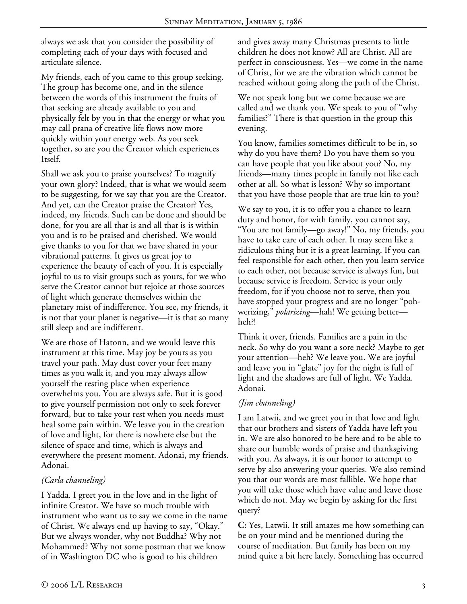always we ask that you consider the possibility of completing each of your days with focused and articulate silence.

My friends, each of you came to this group seeking. The group has become one, and in the silence between the words of this instrument the fruits of that seeking are already available to you and physically felt by you in that the energy or what you may call prana of creative life flows now more quickly within your energy web. As you seek together, so are you the Creator which experiences Itself.

Shall we ask you to praise yourselves? To magnify your own glory? Indeed, that is what we would seem to be suggesting, for we say that you are the Creator. And yet, can the Creator praise the Creator? Yes, indeed, my friends. Such can be done and should be done, for you are all that is and all that is is within you and is to be praised and cherished. We would give thanks to you for that we have shared in your vibrational patterns. It gives us great joy to experience the beauty of each of you. It is especially joyful to us to visit groups such as yours, for we who serve the Creator cannot but rejoice at those sources of light which generate themselves within the planetary mist of indifference. You see, my friends, it is not that your planet is negative—it is that so many still sleep and are indifferent.

We are those of Hatonn, and we would leave this instrument at this time. May joy be yours as you travel your path. May dust cover your feet many times as you walk it, and you may always allow yourself the resting place when experience overwhelms you. You are always safe. But it is good to give yourself permission not only to seek forever forward, but to take your rest when you needs must heal some pain within. We leave you in the creation of love and light, for there is nowhere else but the silence of space and time, which is always and everywhere the present moment. Adonai, my friends. Adonai.

# *(Carla channeling)*

I Yadda. I greet you in the love and in the light of infinite Creator. We have so much trouble with instrument who want us to say we come in the name of Christ. We always end up having to say, "Okay." But we always wonder, why not Buddha? Why not Mohammed? Why not some postman that we know of in Washington DC who is good to his children

and gives away many Christmas presents to little children he does not know? All are Christ. All are perfect in consciousness. Yes—we come in the name of Christ, for we are the vibration which cannot be reached without going along the path of the Christ.

We not speak long but we come because we are called and we thank you. We speak to you of "why families?" There is that question in the group this evening.

You know, families sometimes difficult to be in, so why do you have them? Do you have them so you can have people that you like about you? No, my friends—many times people in family not like each other at all. So what is lesson? Why so important that you have those people that are true kin to you?

We say to you, it is to offer you a chance to learn duty and honor, for with family, you cannot say, "You are not family—go away!" No, my friends, you have to take care of each other. It may seem like a ridiculous thing but it is a great learning. If you can feel responsible for each other, then you learn service to each other, not because service is always fun, but because service is freedom. Service is your only freedom, for if you choose not to serve, then you have stopped your progress and are no longer "pohwerizing," *polarizing*—hah! We getting better heh?!

Think it over, friends. Families are a pain in the neck. So why do you want a sore neck? Maybe to get your attention—heh? We leave you. We are joyful and leave you in "glate" joy for the night is full of light and the shadows are full of light. We Yadda. Adonai.

# *(Jim channeling)*

I am Latwii, and we greet you in that love and light that our brothers and sisters of Yadda have left you in. We are also honored to be here and to be able to share our humble words of praise and thanksgiving with you. As always, it is our honor to attempt to serve by also answering your queries. We also remind you that our words are most fallible. We hope that you will take those which have value and leave those which do not. May we begin by asking for the first query?

**C:** Yes, Latwii. It still amazes me how something can be on your mind and be mentioned during the course of meditation. But family has been on my mind quite a bit here lately. Something has occurred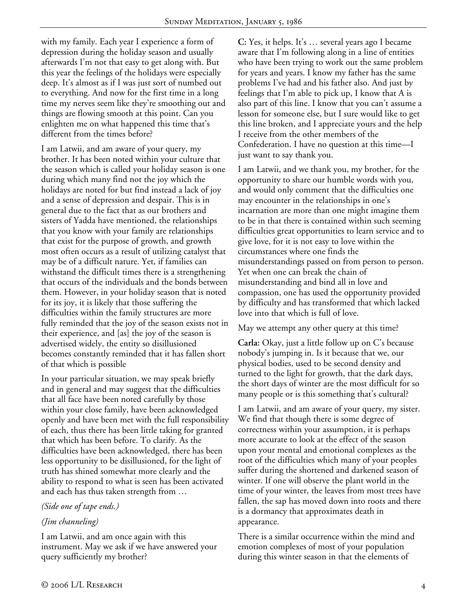with my family. Each year I experience a form of depression during the holiday season and usually afterwards I'm not that easy to get along with. But this year the feelings of the holidays were especially deep. It's almost as if I was just sort of numbed out to everything. And now for the first time in a long time my nerves seem like they're smoothing out and things are flowing smooth at this point. Can you enlighten me on what happened this time that's different from the times before?

I am Latwii, and am aware of your query, my brother. It has been noted within your culture that the season which is called your holiday season is one during which many find not the joy which the holidays are noted for but find instead a lack of joy and a sense of depression and despair. This is in general due to the fact that as our brothers and sisters of Yadda have mentioned, the relationships that you know with your family are relationships that exist for the purpose of growth, and growth most often occurs as a result of utilizing catalyst that may be of a difficult nature. Yet, if families can withstand the difficult times there is a strengthening that occurs of the individuals and the bonds between them. However, in your holiday season that is noted for its joy, it is likely that those suffering the difficulties within the family structures are more fully reminded that the joy of the season exists not in their experience, and [as] the joy of the season is advertised widely, the entity so disillusioned becomes constantly reminded that it has fallen short of that which is possible

In your particular situation, we may speak briefly and in general and may suggest that the difficulties that all face have been noted carefully by those within your close family, have been acknowledged openly and have been met with the full responsibility of each, thus there has been little taking for granted that which has been before. To clarify. As the difficulties have been acknowledged, there has been less opportunity to be disillusioned, for the light of truth has shined somewhat more clearly and the ability to respond to what is seen has been activated and each has thus taken strength from …

# *(Side one of tape ends.)*

# *(Jim channeling)*

I am Latwii, and am once again with this instrument. May we ask if we have answered your query sufficiently my brother?

**C:** Yes, it helps. It's … several years ago I became aware that I'm following along in a line of entities who have been trying to work out the same problem for years and years. I know my father has the same problems I've had and his father also. And just by feelings that I'm able to pick up, I know that A is also part of this line. I know that you can't assume a lesson for someone else, but I sure would like to get this line broken, and I appreciate yours and the help I receive from the other members of the Confederation. I have no question at this time—I just want to say thank you.

I am Latwii, and we thank you, my brother, for the opportunity to share our humble words with you, and would only comment that the difficulties one may encounter in the relationships in one's incarnation are more than one might imagine them to be in that there is contained within such seeming difficulties great opportunities to learn service and to give love, for it is not easy to love within the circumstances where one finds the misunderstandings passed on from person to person. Yet when one can break the chain of misunderstanding and bind all in love and compassion, one has used the opportunity provided by difficulty and has transformed that which lacked love into that which is full of love.

May we attempt any other query at this time?

**Carla:** Okay, just a little follow up on C's because nobody's jumping in. Is it because that we, our physical bodies, used to be second density and turned to the light for growth, that the dark days, the short days of winter are the most difficult for so many people or is this something that's cultural?

I am Latwii, and am aware of your query, my sister. We find that though there is some degree of correctness within your assumption, it is perhaps more accurate to look at the effect of the season upon your mental and emotional complexes as the root of the difficulties which many of your peoples suffer during the shortened and darkened season of winter. If one will observe the plant world in the time of your winter, the leaves from most trees have fallen, the sap has moved down into roots and there is a dormancy that approximates death in appearance.

There is a similar occurrence within the mind and emotion complexes of most of your population during this winter season in that the elements of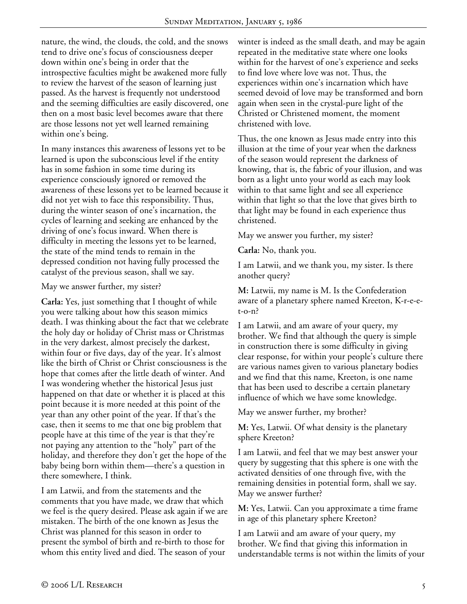nature, the wind, the clouds, the cold, and the snows tend to drive one's focus of consciousness deeper down within one's being in order that the introspective faculties might be awakened more fully to review the harvest of the season of learning just passed. As the harvest is frequently not understood and the seeming difficulties are easily discovered, one then on a most basic level becomes aware that there are those lessons not yet well learned remaining within one's being.

In many instances this awareness of lessons yet to be learned is upon the subconscious level if the entity has in some fashion in some time during its experience consciously ignored or removed the awareness of these lessons yet to be learned because it did not yet wish to face this responsibility. Thus, during the winter season of one's incarnation, the cycles of learning and seeking are enhanced by the driving of one's focus inward. When there is difficulty in meeting the lessons yet to be learned, the state of the mind tends to remain in the depressed condition not having fully processed the catalyst of the previous season, shall we say.

#### May we answer further, my sister?

**Carla:** Yes, just something that I thought of while you were talking about how this season mimics death. I was thinking about the fact that we celebrate the holy day or holiday of Christ mass or Christmas in the very darkest, almost precisely the darkest, within four or five days, day of the year. It's almost like the birth of Christ or Christ consciousness is the hope that comes after the little death of winter. And I was wondering whether the historical Jesus just happened on that date or whether it is placed at this point because it is more needed at this point of the year than any other point of the year. If that's the case, then it seems to me that one big problem that people have at this time of the year is that they're not paying any attention to the "holy" part of the holiday, and therefore they don't get the hope of the baby being born within them—there's a question in there somewhere, I think.

I am Latwii, and from the statements and the comments that you have made, we draw that which we feel is the query desired. Please ask again if we are mistaken. The birth of the one known as Jesus the Christ was planned for this season in order to present the symbol of birth and re-birth to those for whom this entity lived and died. The season of your

winter is indeed as the small death, and may be again repeated in the meditative state where one looks within for the harvest of one's experience and seeks to find love where love was not. Thus, the experiences within one's incarnation which have seemed devoid of love may be transformed and born again when seen in the crystal-pure light of the Christed or Christened moment, the moment christened with love.

Thus, the one known as Jesus made entry into this illusion at the time of your year when the darkness of the season would represent the darkness of knowing, that is, the fabric of your illusion, and was born as a light unto your world as each may look within to that same light and see all experience within that light so that the love that gives birth to that light may be found in each experience thus christened.

May we answer you further, my sister?

**Carla:** No, thank you.

I am Latwii, and we thank you, my sister. Is there another query?

**M:** Latwii, my name is M. Is the Confederation aware of a planetary sphere named Kreeton, K-r-e-et-o-n?

I am Latwii, and am aware of your query, my brother. We find that although the query is simple in construction there is some difficulty in giving clear response, for within your people's culture there are various names given to various planetary bodies and we find that this name, Kreeton, is one name that has been used to describe a certain planetary influence of which we have some knowledge.

May we answer further, my brother?

**M:** Yes, Latwii. Of what density is the planetary sphere Kreeton?

I am Latwii, and feel that we may best answer your query by suggesting that this sphere is one with the activated densities of one through five, with the remaining densities in potential form, shall we say. May we answer further?

**M:** Yes, Latwii. Can you approximate a time frame in age of this planetary sphere Kreeton?

I am Latwii and am aware of your query, my brother. We find that giving this information in understandable terms is not within the limits of your